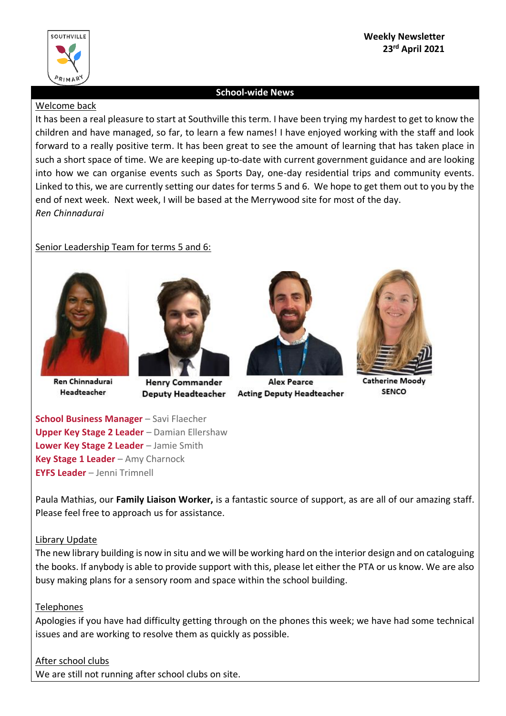

## **Weekly Newsletter 23rd April 2021**

### **School-wide News**

### Welcome back

It has been a real pleasure to start at Southville this term. I have been trying my hardest to get to know the children and have managed, so far, to learn a few names! I have enjoyed working with the staff and look forward to a really positive term. It has been great to see the amount of learning that has taken place in such a short space of time. We are keeping up-to-date with current government guidance and are looking into how we can organise events such as Sports Day, one-day residential trips and community events. Linked to this, we are currently setting our dates for terms 5 and 6. We hope to get them out to you by the end of next week. Next week, I will be based at the Merrywood site for most of the day. *Ren Chinnadurai*

## Senior Leadership Team for terms 5 and 6:



Ren Chinnadurai Headteacher



**Henry Commander** Deputy Headteacher Acting Deputy Headteacher



**Alex Pearce** 



**Catherine Moody SENCO** 

**School Business Manager** – Savi Flaecher **Upper Key Stage 2 Leader** – Damian Ellershaw **Lower Key Stage 2 Leader** – Jamie Smith **Key Stage 1 Leader** – Amy Charnock **EYFS Leader** – Jenni Trimnell

Paula Mathias, our **Family Liaison Worker,** is a fantastic source of support, as are all of our amazing staff. Please feel free to approach us for assistance.

## Library Update

The new library building is now in situ and we will be working hard on the interior design and on cataloguing the books. If anybody is able to provide support with this, please let either the PTA or us know. We are also busy making plans for a sensory room and space within the school building.

## Telephones

Apologies if you have had difficulty getting through on the phones this week; we have had some technical issues and are working to resolve them as quickly as possible.

# After school clubs

We are still not running after school clubs on site.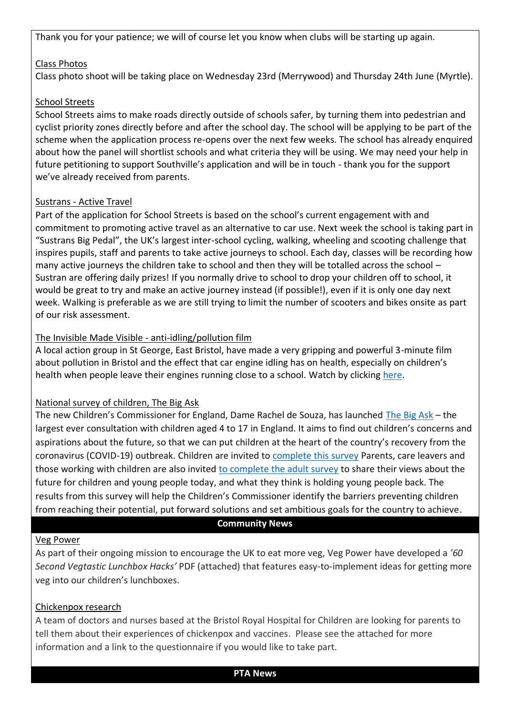Thank you for your patience; we will of course let you know when clubs will be starting up again.

### Class Photos

Class photo shoot will be taking place on Wednesday 23rd (Merrywood) and Thursday 24th June (Myrtle).

## School Streets

School Streets aims to make roads directly outside of schools safer, by turning them into pedestrian and cyclist priority zones directly before and after the school day. The school will be applying to be part of the scheme when the application process re-opens over the next few weeks. The school has already enquired about how the panel will shortlist schools and what criteria they will be using. We may need your help in future petitioning to support Southville's application and will be in touch - thank you for the support we've already received from parents.

### Sustrans - Active Travel

Part of the application for School Streets is based on the school's current engagement with and commitment to promoting active travel as an alternative to car use. Next week the school is taking part in "Sustrans Big Pedal", the UK's largest inter-school cycling, walking, wheeling and scooting challenge that inspires pupils, staff and parents to take active journeys to school. Each day, classes will be recording how many active journeys the children take to school and then they will be totalled across the school – Sustran are offering daily prizes! If you normally drive to school to drop your children off to school, it would be great to try and make an active journey instead (if possible!), even if it is only one day next week. Walking is preferable as we are still trying to limit the number of scooters and bikes onsite as part of our risk assessment.

## The Invisible Made Visible - anti-idling/pollution film

A local action group in St George, East Bristol, have made a very gripping and powerful 3-minute film about pollution in Bristol and the effect that car engine idling has on health, especially on children's health when people leave their engines running close to a school. Watch by clicking [here.](https://www.youtube.com/watch?app=desktop&v=kqTJ0_kvclY)

#### National survey of children, The Big Ask

The new Children's Commissioner for England, Dame Rachel de Souza, has launched [The Big Ask](http://thebigask.uk/) – the largest ever consultation with children aged 4 to 17 in England. It aims to find out children's concerns and aspirations about the future, so that we can put children at the heart of the country's recovery from the coronavirus (COVID-19) outbreak. Children are invited to [complete this survey](https://www.childrenscommissioner.gov.uk/thebigask/) Parents, care leavers and those working with children are also invited [to complete the adult survey](https://www.childrenscommissioner.gov.uk/thebigask/adults/) to share their views about the future for children and young people today, and what they think is holding young people back. The results from this survey will help the Children's Commissioner identify the barriers preventing children from reaching their potential, put forward solutions and set ambitious goals for the country to achieve.

#### **Community News**

#### Veg Power

As part of their ongoing mission to encourage the UK to eat more veg, Veg Power have developed a *'60 Second Vegtastic Lunchbox Hacks'* PDF (attached) that features easy-to-implement ideas for getting more veg into our children's lunchboxes.

#### Chickenpox research

A team of doctors and nurses based at the Bristol Royal Hospital for Children are looking for parents to tell them about their experiences of chickenpox and vaccines. Please see the attached for more information and a link to the questionnaire if you would like to take part.

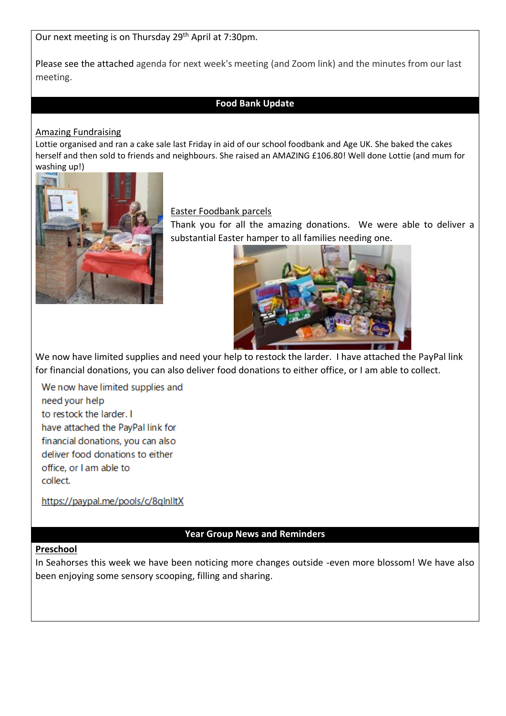Our next meeting is on Thursday 29<sup>th</sup> April at 7:30pm.

Please see the attached agenda for next week's meeting (and Zoom link) and the minutes from our last meeting.

## **Food Bank Update**

### Amazing Fundraising

Lottie organised and ran a cake sale last Friday in aid of our school foodbank and Age UK. She baked the cakes herself and then sold to friends and neighbours. She raised an AMAZING £106.80! Well done Lottie (and mum for washing up!)



Easter Foodbank parcels

Thank you for all the amazing donations. We were able to deliver a substantial Easter hamper to all families needing one.



We now have limited supplies and need your help to restock the larder. I have attached the PayPal link for financial donations, you can also deliver food donations to either office, or I am able to collect.

We now have limited supplies and need your help to restock the larder. I have attached the PayPal link for financial donations, you can also deliver food donations to either office, or I am able to collect.

https://paypal.me/pools/c/8qlnlltX

## **Year Group News and Reminders**

#### **Preschool**

In Seahorses this week we have been noticing more changes outside -even more blossom! We have also been enjoying some sensory scooping, filling and sharing.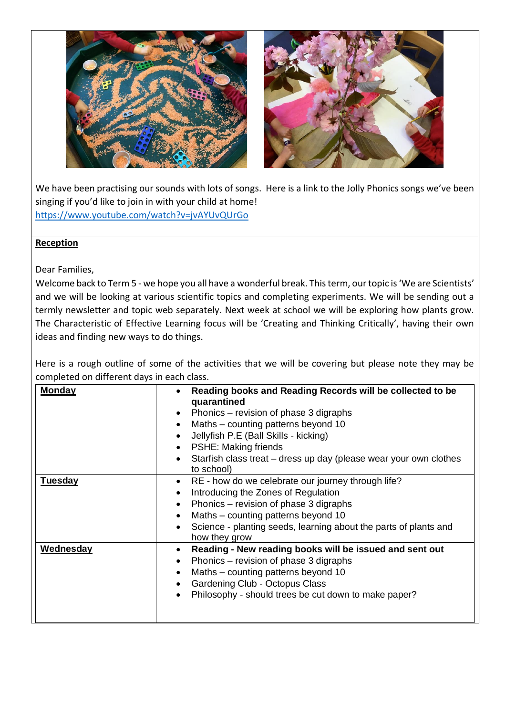

We have been practising our sounds with lots of songs. Here is a link to the Jolly Phonics songs we've been singing if you'd like to join in with your child at home! <https://www.youtube.com/watch?v=jvAYUvQUrGo>

## **Reception**

Dear Families,

Welcome back to Term 5 - we hope you all have a wonderful break. This term, our topic is 'We are Scientists' and we will be looking at various scientific topics and completing experiments. We will be sending out a termly newsletter and topic web separately. Next week at school we will be exploring how plants grow. The Characteristic of Effective Learning focus will be 'Creating and Thinking Critically', having their own ideas and finding new ways to do things.

Here is a rough outline of some of the activities that we will be covering but please note they may be completed on different days in each class.

| <b>Monday</b>  | Reading books and Reading Records will be collected to be<br>$\bullet$<br>quarantined          |
|----------------|------------------------------------------------------------------------------------------------|
|                | Phonics – revision of phase 3 digraphs<br>$\bullet$                                            |
|                | Maths - counting patterns beyond 10<br>$\bullet$                                               |
|                | Jellyfish P.E (Ball Skills - kicking)<br>$\bullet$                                             |
|                | <b>PSHE: Making friends</b><br>$\bullet$                                                       |
|                | Starfish class treat – dress up day (please wear your own clothes<br>$\bullet$<br>to school)   |
| <b>Tuesday</b> | RE - how do we celebrate our journey through life?<br>$\bullet$                                |
|                | Introducing the Zones of Regulation<br>$\bullet$                                               |
|                | Phonics - revision of phase 3 digraphs<br>$\bullet$                                            |
|                | Maths – counting patterns beyond 10<br>$\bullet$                                               |
|                | Science - planting seeds, learning about the parts of plants and<br>$\bullet$<br>how they grow |
| Wednesday      | Reading - New reading books will be issued and sent out<br>$\bullet$                           |
|                | Phonics – revision of phase 3 digraphs<br>$\bullet$                                            |
|                | Maths – counting patterns beyond 10<br>$\bullet$                                               |
|                | Gardening Club - Octopus Class<br>$\bullet$                                                    |
|                | Philosophy - should trees be cut down to make paper?<br>$\bullet$                              |
|                |                                                                                                |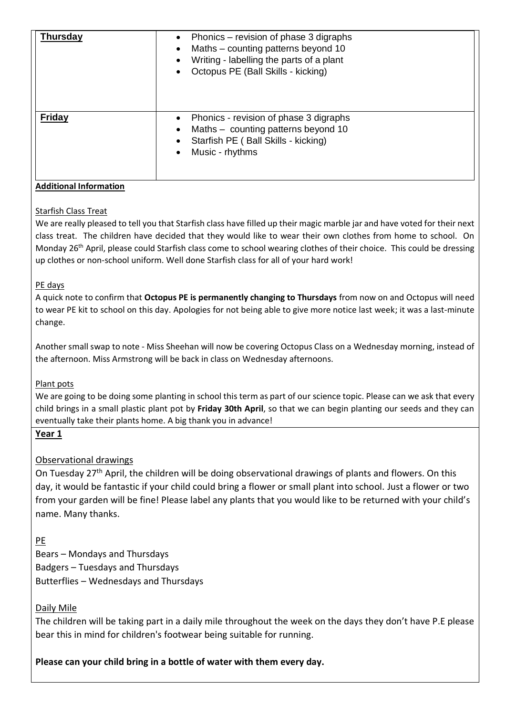| <b>Thursday</b> | Phonics – revision of phase 3 digraphs<br>$\bullet$<br>Maths - counting patterns beyond 10<br>$\bullet$<br>Writing - labelling the parts of a plant<br>$\bullet$<br>Octopus PE (Ball Skills - kicking) |
|-----------------|--------------------------------------------------------------------------------------------------------------------------------------------------------------------------------------------------------|
| <b>Friday</b>   | Phonics - revision of phase 3 digraphs<br>$\bullet$<br>Maths - counting patterns beyond 10<br>$\bullet$<br>Starfish PE (Ball Skills - kicking)<br>$\bullet$<br>Music - rhythms<br>$\bullet$            |

### **Additional Information**

### Starfish Class Treat

We are really pleased to tell you that Starfish class have filled up their magic marble jar and have voted for their next class treat. The children have decided that they would like to wear their own clothes from home to school. On Monday 26th April, please could Starfish class come to school wearing clothes of their choice. This could be dressing up clothes or non-school uniform. Well done Starfish class for all of your hard work!

#### PE days

A quick note to confirm that **Octopus PE is permanently changing to Thursdays** from now on and Octopus will need to wear PE kit to school on this day. Apologies for not being able to give more notice last week; it was a last-minute change.

Another small swap to note - Miss Sheehan will now be covering Octopus Class on a Wednesday morning, instead of the afternoon. Miss Armstrong will be back in class on Wednesday afternoons.

#### Plant pots

We are going to be doing some planting in school this term as part of our science topic. Please can we ask that every child brings in a small plastic plant pot by **Friday 30th April**, so that we can begin planting our seeds and they can eventually take their plants home. A big thank you in advance!

## **Year 1**

## Observational drawings

On Tuesday 27<sup>th</sup> April, the children will be doing observational drawings of plants and flowers. On this day, it would be fantastic if your child could bring a flower or small plant into school. Just a flower or two from your garden will be fine! Please label any plants that you would like to be returned with your child's name. Many thanks.

## PE

Bears – Mondays and Thursdays Badgers – Tuesdays and Thursdays Butterflies – Wednesdays and Thursdays

## Daily Mile

The children will be taking part in a daily mile throughout the week on the days they don't have P.E please bear this in mind for children's footwear being suitable for running.

**Please can your child bring in a bottle of water with them every day.**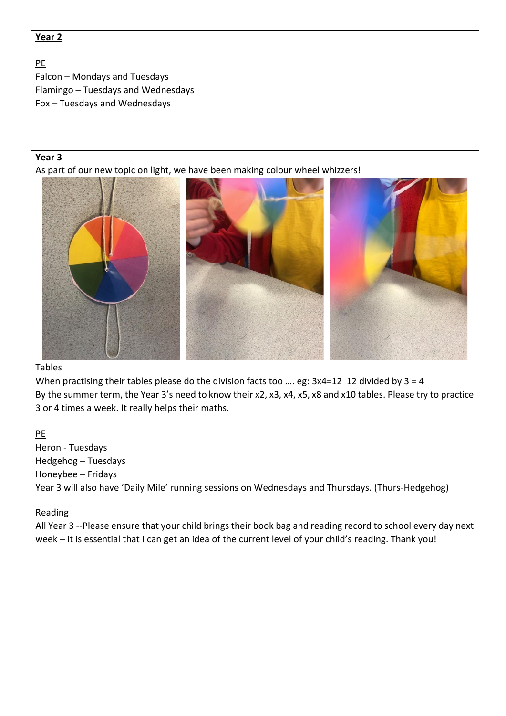## **Year 2**

## PE Falcon – Mondays and Tuesdays Flamingo – Tuesdays and Wednesdays Fox – Tuesdays and Wednesdays

## **Year 3**

As part of our new topic on light, we have been making colour wheel whizzers!



## Tables

When practising their tables please do the division facts too …. eg: 3x4=12 12 divided by 3 = 4 By the summer term, the Year 3's need to know their x2, x3, x4, x5, x8 and x10 tables. Please try to practice 3 or 4 times a week. It really helps their maths.

PE

Heron - Tuesdays Hedgehog – Tuesdays Honeybee – Fridays Year 3 will also have 'Daily Mile' running sessions on Wednesdays and Thursdays. (Thurs-Hedgehog)

## Reading

All Year 3 --Please ensure that your child brings their book bag and reading record to school every day next week – it is essential that I can get an idea of the current level of your child's reading. Thank you!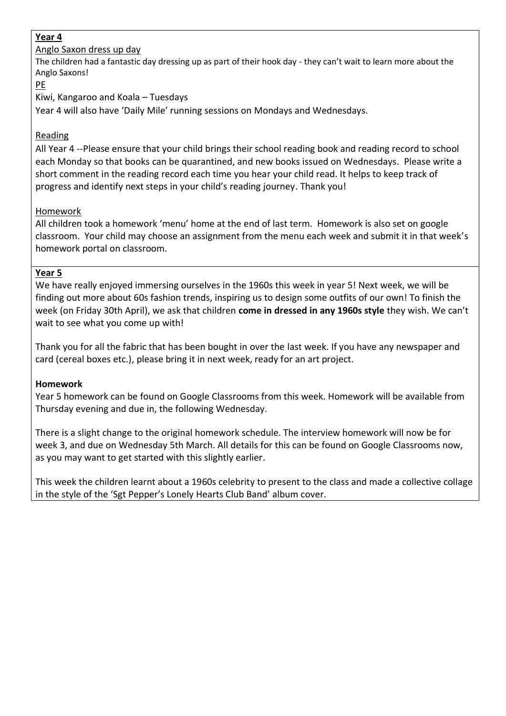## **Year 4**

Anglo Saxon dress up day

The children had a fantastic day dressing up as part of their hook day - they can't wait to learn more about the Anglo Saxons!

PE

Kiwi, Kangaroo and Koala – Tuesdays

Year 4 will also have 'Daily Mile' running sessions on Mondays and Wednesdays.

## Reading

All Year 4 --Please ensure that your child brings their school reading book and reading record to school each Monday so that books can be quarantined, and new books issued on Wednesdays. Please write a short comment in the reading record each time you hear your child read. It helps to keep track of progress and identify next steps in your child's reading journey. Thank you!

## Homework

All children took a homework 'menu' home at the end of last term. Homework is also set on google classroom. Your child may choose an assignment from the menu each week and submit it in that week's homework portal on classroom.

## **Year 5**

We have really enjoyed immersing ourselves in the 1960s this week in year 5! Next week, we will be finding out more about 60s fashion trends, inspiring us to design some outfits of our own! To finish the week (on Friday 30th April), we ask that children **come in dressed in any 1960s style** they wish. We can't wait to see what you come up with!

Thank you for all the fabric that has been bought in over the last week. If you have any newspaper and card (cereal boxes etc.), please bring it in next week, ready for an art project.

## **Homework**

Year 5 homework can be found on Google Classrooms from this week. Homework will be available from Thursday evening and due in, the following Wednesday.

There is a slight change to the original homework schedule. The interview homework will now be for week 3, and due on Wednesday 5th March. All details for this can be found on Google Classrooms now, as you may want to get started with this slightly earlier.

This week the children learnt about a 1960s celebrity to present to the class and made a collective collage in the style of the 'Sgt Pepper's Lonely Hearts Club Band' album cover.